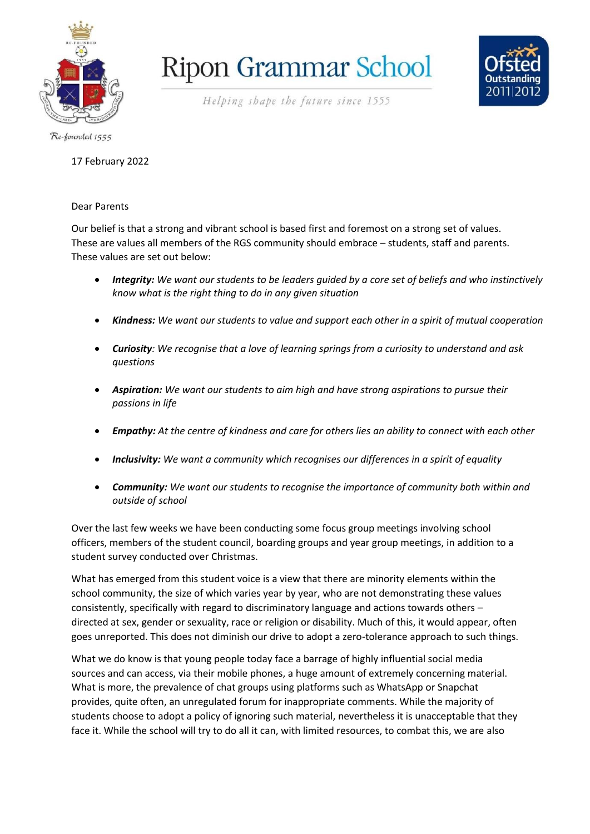

## **Ripon Grammar School**



Helping shape the future since 1555

Re-founded 1555

## 17 February 2022

## Dear Parents

Our belief is that a strong and vibrant school is based first and foremost on a strong set of values. These are values all members of the RGS community should embrace – students, staff and parents. These values are set out below:

- *Integrity: We want our students to be leaders guided by a core set of beliefs and who instinctively know what is the right thing to do in any given situation*
- *Kindness: We want our students to value and support each other in a spirit of mutual cooperation*
- *Curiosity: We recognise that a love of learning springs from a curiosity to understand and ask questions*
- *Aspiration: We want our students to aim high and have strong aspirations to pursue their passions in life*
- *Empathy: At the centre of kindness and care for others lies an ability to connect with each other*
- *Inclusivity: We want a community which recognises our differences in a spirit of equality*
- *Community: We want our students to recognise the importance of community both within and outside of school*

Over the last few weeks we have been conducting some focus group meetings involving school officers, members of the student council, boarding groups and year group meetings, in addition to a student survey conducted over Christmas.

What has emerged from this student voice is a view that there are minority elements within the school community, the size of which varies year by year, who are not demonstrating these values consistently, specifically with regard to discriminatory language and actions towards others – directed at sex, gender or sexuality, race or religion or disability. Much of this, it would appear, often goes unreported. This does not diminish our drive to adopt a zero-tolerance approach to such things.

What we do know is that young people today face a barrage of highly influential social media sources and can access, via their mobile phones, a huge amount of extremely concerning material. What is more, the prevalence of chat groups using platforms such as WhatsApp or Snapchat provides, quite often, an unregulated forum for inappropriate comments. While the majority of students choose to adopt a policy of ignoring such material, nevertheless it is unacceptable that they face it. While the school will try to do all it can, with limited resources, to combat this, we are also